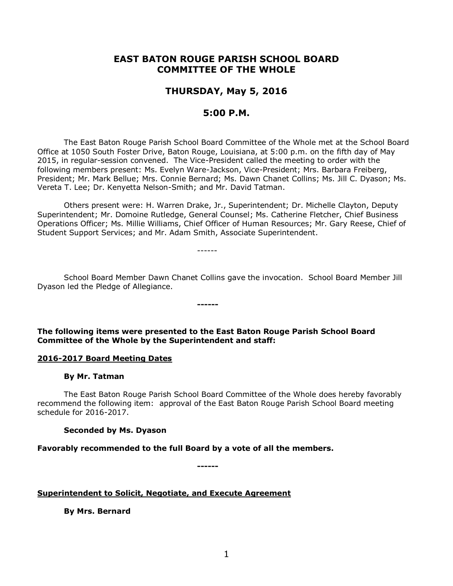# **EAST BATON ROUGE PARISH SCHOOL BOARD COMMITTEE OF THE WHOLE**

# **THURSDAY, May 5, 2016**

## **5:00 P.M.**

The East Baton Rouge Parish School Board Committee of the Whole met at the School Board Office at 1050 South Foster Drive, Baton Rouge, Louisiana, at 5:00 p.m. on the fifth day of May 2015, in regular-session convened. The Vice-President called the meeting to order with the following members present: Ms. Evelyn Ware-Jackson, Vice-President; Mrs. Barbara Freiberg, President; Mr. Mark Bellue; Mrs. Connie Bernard; Ms. Dawn Chanet Collins; Ms. Jill C. Dyason; Ms. Vereta T. Lee; Dr. Kenyetta Nelson-Smith; and Mr. David Tatman.

Others present were: H. Warren Drake, Jr., Superintendent; Dr. Michelle Clayton, Deputy Superintendent; Mr. Domoine Rutledge, General Counsel; Ms. Catherine Fletcher, Chief Business Operations Officer; Ms. Millie Williams, Chief Officer of Human Resources; Mr. Gary Reese, Chief of Student Support Services; and Mr. Adam Smith, Associate Superintendent.

School Board Member Dawn Chanet Collins gave the invocation. School Board Member Jill Dyason led the Pledge of Allegiance.

**The following items were presented to the East Baton Rouge Parish School Board Committee of the Whole by the Superintendent and staff:**

**------**

------

#### **2016-2017 Board Meeting Dates**

#### **By Mr. Tatman**

The East Baton Rouge Parish School Board Committee of the Whole does hereby favorably recommend the following item: approval of the East Baton Rouge Parish School Board meeting schedule for 2016-2017.

**Seconded by Ms. Dyason**

**Favorably recommended to the full Board by a vote of all the members.**

**------**

**Superintendent to Solicit, Negotiate, and Execute Agreement**

**By Mrs. Bernard**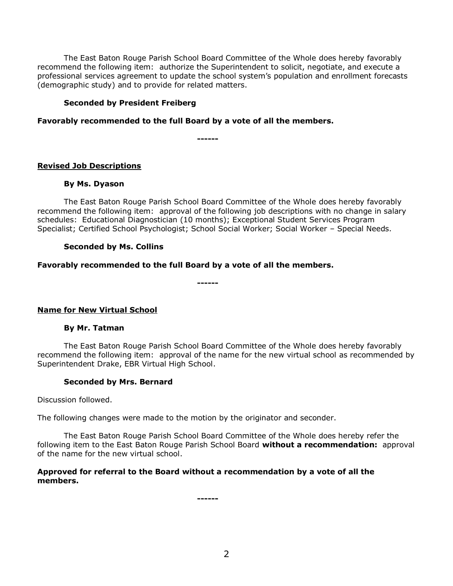The East Baton Rouge Parish School Board Committee of the Whole does hereby favorably recommend the following item: authorize the Superintendent to solicit, negotiate, and execute a professional services agreement to update the school system's population and enrollment forecasts (demographic study) and to provide for related matters.

### **Seconded by President Freiberg**

### **Favorably recommended to the full Board by a vote of all the members.**

**------**

### **Revised Job Descriptions**

### **By Ms. Dyason**

The East Baton Rouge Parish School Board Committee of the Whole does hereby favorably recommend the following item: approval of the following job descriptions with no change in salary schedules: Educational Diagnostician (10 months); Exceptional Student Services Program Specialist; Certified School Psychologist; School Social Worker; Social Worker – Special Needs.

### **Seconded by Ms. Collins**

## **Favorably recommended to the full Board by a vote of all the members.**

**------**

## **Name for New Virtual School**

#### **By Mr. Tatman**

The East Baton Rouge Parish School Board Committee of the Whole does hereby favorably recommend the following item: approval of the name for the new virtual school as recommended by Superintendent Drake, EBR Virtual High School.

#### **Seconded by Mrs. Bernard**

Discussion followed.

The following changes were made to the motion by the originator and seconder.

The East Baton Rouge Parish School Board Committee of the Whole does hereby refer the following item to the East Baton Rouge Parish School Board **without a recommendation:** approval of the name for the new virtual school.

### **Approved for referral to the Board without a recommendation by a vote of all the members.**

**------**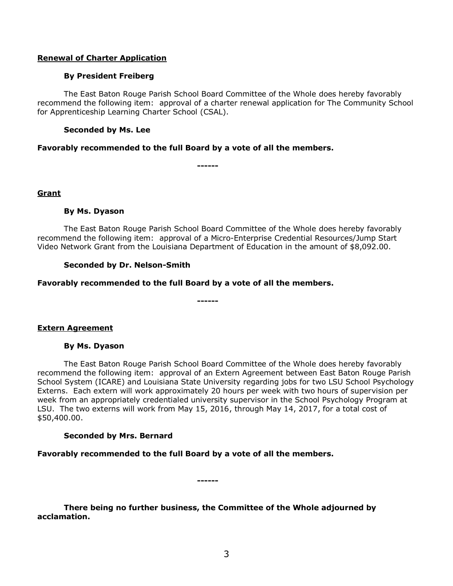#### **Renewal of Charter Application**

#### **By President Freiberg**

The East Baton Rouge Parish School Board Committee of the Whole does hereby favorably recommend the following item: approval of a charter renewal application for The Community School for Apprenticeship Learning Charter School (CSAL).

#### **Seconded by Ms. Lee**

#### **Favorably recommended to the full Board by a vote of all the members.**

**------**

#### **Grant**

#### **By Ms. Dyason**

The East Baton Rouge Parish School Board Committee of the Whole does hereby favorably recommend the following item: approval of a Micro-Enterprise Credential Resources/Jump Start Video Network Grant from the Louisiana Department of Education in the amount of \$8,092.00.

**------**

#### **Seconded by Dr. Nelson-Smith**

#### **Favorably recommended to the full Board by a vote of all the members.**

# **By Ms. Dyason**

**Extern Agreement**

The East Baton Rouge Parish School Board Committee of the Whole does hereby favorably recommend the following item: approval of an Extern Agreement between East Baton Rouge Parish School System (ICARE) and Louisiana State University regarding jobs for two LSU School Psychology Externs. Each extern will work approximately 20 hours per week with two hours of supervision per week from an appropriately credentialed university supervisor in the School Psychology Program at LSU. The two externs will work from May 15, 2016, through May 14, 2017, for a total cost of \$50,400.00.

#### **Seconded by Mrs. Bernard**

**Favorably recommended to the full Board by a vote of all the members.**

**There being no further business, the Committee of the Whole adjourned by acclamation.**

**------**